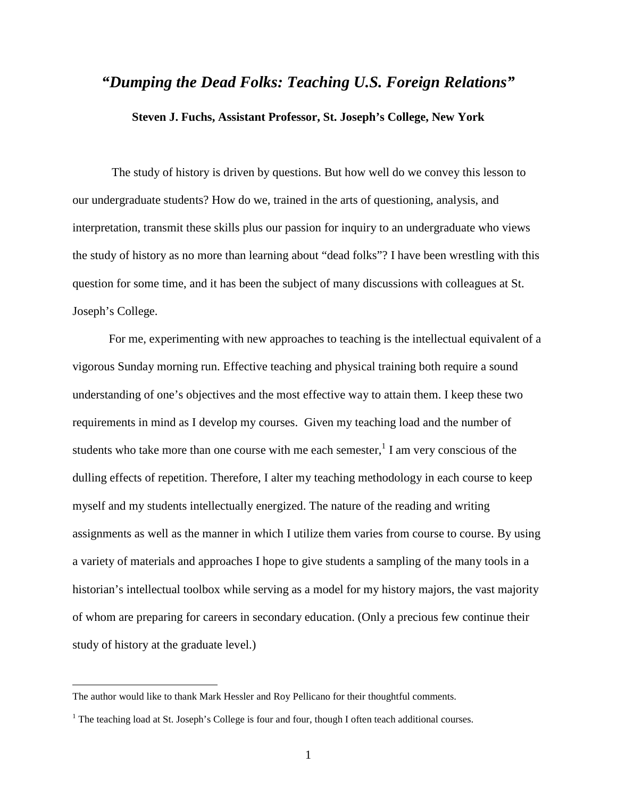## *"Dumping the Dead Folks: Teaching U.S. Foreign Relations"*

## **Steven J. Fuchs, Assistant Professor, St. Joseph's College, New York**

 The study of history is driven by questions. But how well do we convey this lesson to our undergraduate students? How do we, trained in the arts of questioning, analysis, and interpretation, transmit these skills plus our passion for inquiry to an undergraduate who views the study of history as no more than learning about "dead folks"? I have been wrestling with this question for some time, and it has been the subject of many discussions with colleagues at St. Joseph's College.

For me, experimenting with new approaches to teaching is the intellectual equivalent of a vigorous Sunday morning run. Effective teaching and physical training both require a sound understanding of one's objectives and the most effective way to attain them. I keep these two requirements in mind as I develop my courses. Given my teaching load and the number of students who take more than one course with me each semester,  $\frac{1}{1}$  I am very conscious of the dulling effects of repetition. Therefore, I alter my teaching methodology in each course to keep myself and my students intellectually energized. The nature of the reading and writing assignments as well as the manner in which I utilize them varies from course to course. By using a variety of materials and approaches I hope to give students a sampling of the many tools in a historian's intellectual toolbox while serving as a model for my history majors, the vast majority of whom are preparing for careers in secondary education. (Only a precious few continue their study of history at the graduate level.)

The author would like to thank Mark Hessler and Roy Pellicano for their thoughtful comments.

<sup>&</sup>lt;sup>1</sup> The teaching load at St. Joseph's College is four and four, though I often teach additional courses.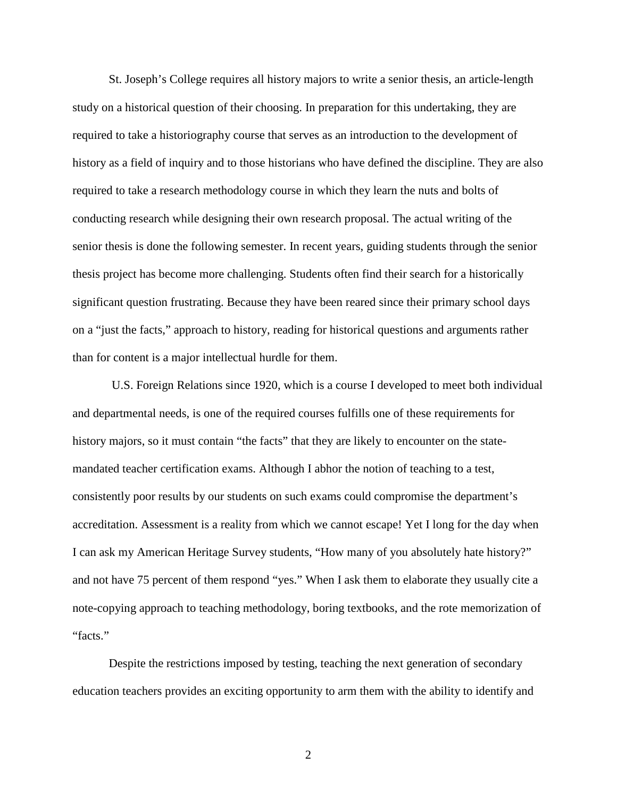St. Joseph's College requires all history majors to write a senior thesis, an article-length study on a historical question of their choosing. In preparation for this undertaking, they are required to take a historiography course that serves as an introduction to the development of history as a field of inquiry and to those historians who have defined the discipline. They are also required to take a research methodology course in which they learn the nuts and bolts of conducting research while designing their own research proposal. The actual writing of the senior thesis is done the following semester. In recent years, guiding students through the senior thesis project has become more challenging. Students often find their search for a historically significant question frustrating. Because they have been reared since their primary school days on a "just the facts," approach to history, reading for historical questions and arguments rather than for content is a major intellectual hurdle for them.

 U.S. Foreign Relations since 1920, which is a course I developed to meet both individual and departmental needs, is one of the required courses fulfills one of these requirements for history majors, so it must contain "the facts" that they are likely to encounter on the statemandated teacher certification exams. Although I abhor the notion of teaching to a test, consistently poor results by our students on such exams could compromise the department's accreditation. Assessment is a reality from which we cannot escape! Yet I long for the day when I can ask my American Heritage Survey students, "How many of you absolutely hate history?" and not have 75 percent of them respond "yes." When I ask them to elaborate they usually cite a note-copying approach to teaching methodology, boring textbooks, and the rote memorization of "facts."

Despite the restrictions imposed by testing, teaching the next generation of secondary education teachers provides an exciting opportunity to arm them with the ability to identify and

2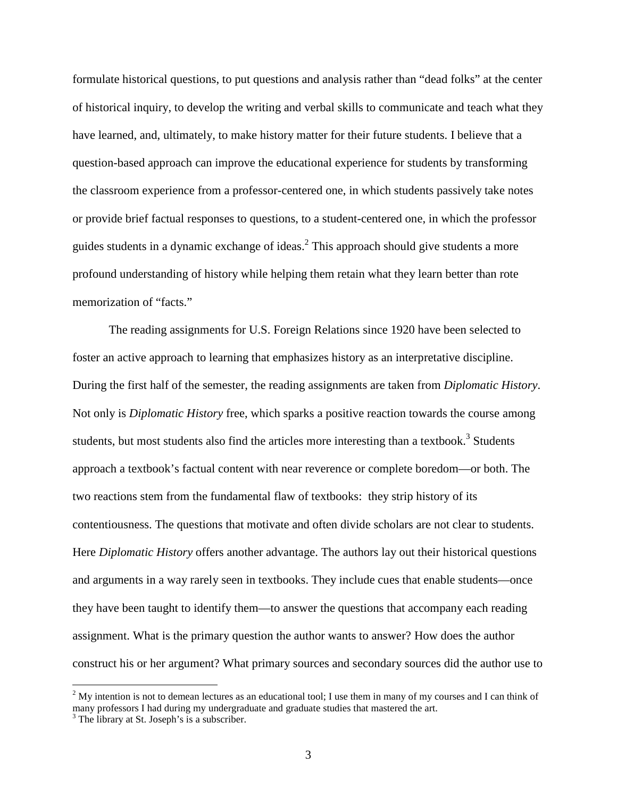formulate historical questions, to put questions and analysis rather than "dead folks" at the center of historical inquiry, to develop the writing and verbal skills to communicate and teach what they have learned, and, ultimately, to make history matter for their future students. I believe that a question-based approach can improve the educational experience for students by transforming the classroom experience from a professor-centered one, in which students passively take notes or provide brief factual responses to questions, to a student-centered one, in which the professor guides students in a dynamic exchange of ideas. $<sup>2</sup>$  This approach should give students a more</sup> profound understanding of history while helping them retain what they learn better than rote memorization of "facts."

The reading assignments for U.S. Foreign Relations since 1920 have been selected to foster an active approach to learning that emphasizes history as an interpretative discipline. During the first half of the semester, the reading assignments are taken from *Diplomatic History*. Not only is *Diplomatic History* free, which sparks a positive reaction towards the course among students, but most students also find the articles more interesting than a textbook.<sup>3</sup> Students approach a textbook's factual content with near reverence or complete boredom—or both. The two reactions stem from the fundamental flaw of textbooks: they strip history of its contentiousness. The questions that motivate and often divide scholars are not clear to students. Here *Diplomatic History* offers another advantage. The authors lay out their historical questions and arguments in a way rarely seen in textbooks. They include cues that enable students—once they have been taught to identify them—to answer the questions that accompany each reading assignment. What is the primary question the author wants to answer? How does the author construct his or her argument? What primary sources and secondary sources did the author use to

 $2^2$  My intention is not to demean lectures as an educational tool; I use them in many of my courses and I can think of many professors I had during my undergraduate and graduate studies that mastered the art.

<sup>&</sup>lt;sup>3</sup> The library at St. Joseph's is a subscriber.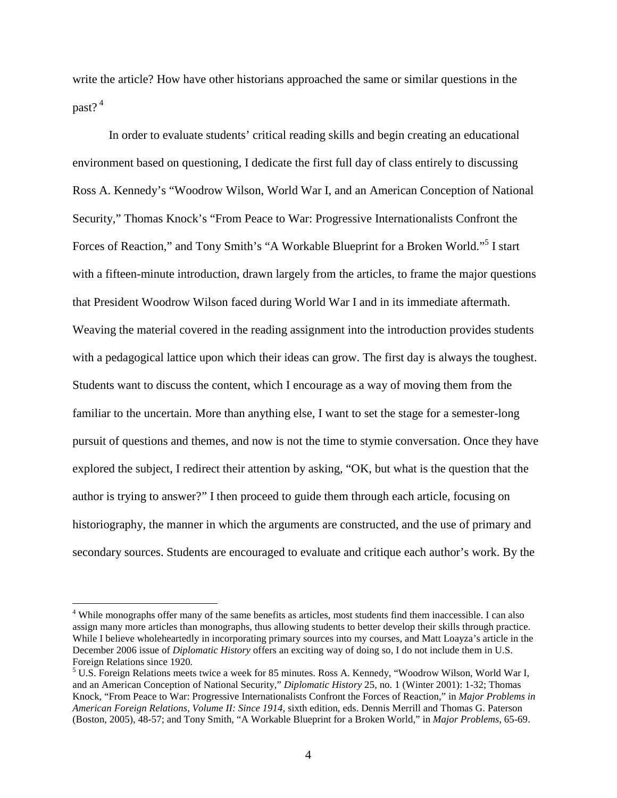write the article? How have other historians approached the same or similar questions in the past?<sup>4</sup>

In order to evaluate students' critical reading skills and begin creating an educational environment based on questioning, I dedicate the first full day of class entirely to discussing Ross A. Kennedy's "Woodrow Wilson, World War I, and an American Conception of National Security," Thomas Knock's "From Peace to War: Progressive Internationalists Confront the Forces of Reaction," and Tony Smith's "A Workable Blueprint for a Broken World."<sup>5</sup> I start with a fifteen-minute introduction, drawn largely from the articles, to frame the major questions that President Woodrow Wilson faced during World War I and in its immediate aftermath. Weaving the material covered in the reading assignment into the introduction provides students with a pedagogical lattice upon which their ideas can grow. The first day is always the toughest. Students want to discuss the content, which I encourage as a way of moving them from the familiar to the uncertain. More than anything else, I want to set the stage for a semester-long pursuit of questions and themes, and now is not the time to stymie conversation. Once they have explored the subject, I redirect their attention by asking, "OK, but what is the question that the author is trying to answer?" I then proceed to guide them through each article, focusing on historiography, the manner in which the arguments are constructed, and the use of primary and secondary sources. Students are encouraged to evaluate and critique each author's work. By the

<sup>&</sup>lt;sup>4</sup> While monographs offer many of the same benefits as articles, most students find them inaccessible. I can also assign many more articles than monographs, thus allowing students to better develop their skills through practice. While I believe wholeheartedly in incorporating primary sources into my courses, and Matt Loayza's article in the December 2006 issue of *Diplomatic History* offers an exciting way of doing so, I do not include them in U.S. Foreign Relations since 1920*.*

<sup>&</sup>lt;sup>5</sup> U.S. Foreign Relations meets twice a week for 85 minutes. Ross A. Kennedy, "Woodrow Wilson, World War I, and an American Conception of National Security," *Diplomatic History* 25, no. 1 (Winter 2001): 1-32; Thomas Knock, "From Peace to War: Progressive Internationalists Confront the Forces of Reaction," in *Major Problems in American Foreign Relations, Volume II: Since 1914*, sixth edition, eds. Dennis Merrill and Thomas G. Paterson (Boston, 2005), 48-57; and Tony Smith, "A Workable Blueprint for a Broken World," in *Major Problems*, 65-69.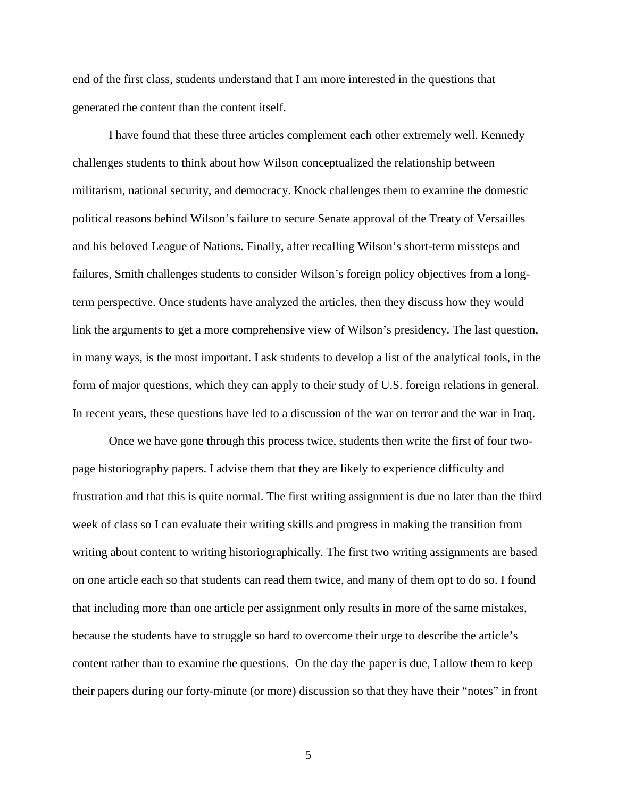end of the first class, students understand that I am more interested in the questions that generated the content than the content itself.

I have found that these three articles complement each other extremely well. Kennedy challenges students to think about how Wilson conceptualized the relationship between militarism, national security, and democracy. Knock challenges them to examine the domestic political reasons behind Wilson's failure to secure Senate approval of the Treaty of Versailles and his beloved League of Nations. Finally, after recalling Wilson's short-term missteps and failures, Smith challenges students to consider Wilson's foreign policy objectives from a longterm perspective. Once students have analyzed the articles, then they discuss how they would link the arguments to get a more comprehensive view of Wilson's presidency. The last question, in many ways, is the most important. I ask students to develop a list of the analytical tools, in the form of major questions, which they can apply to their study of U.S. foreign relations in general. In recent years, these questions have led to a discussion of the war on terror and the war in Iraq.

Once we have gone through this process twice, students then write the first of four twopage historiography papers. I advise them that they are likely to experience difficulty and frustration and that this is quite normal. The first writing assignment is due no later than the third week of class so I can evaluate their writing skills and progress in making the transition from writing about content to writing historiographically. The first two writing assignments are based on one article each so that students can read them twice, and many of them opt to do so. I found that including more than one article per assignment only results in more of the same mistakes, because the students have to struggle so hard to overcome their urge to describe the article's content rather than to examine the questions. On the day the paper is due, I allow them to keep their papers during our forty-minute (or more) discussion so that they have their "notes" in front

5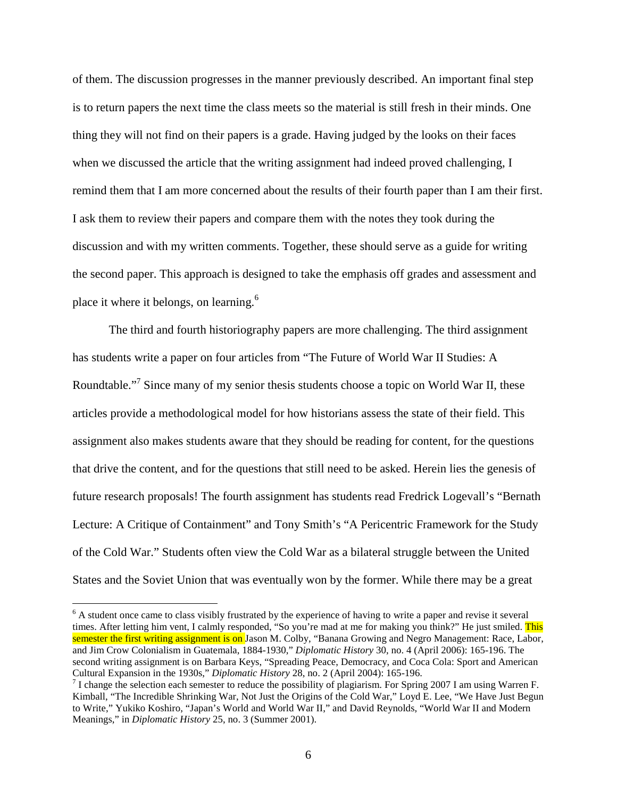of them. The discussion progresses in the manner previously described. An important final step is to return papers the next time the class meets so the material is still fresh in their minds. One thing they will not find on their papers is a grade. Having judged by the looks on their faces when we discussed the article that the writing assignment had indeed proved challenging, I remind them that I am more concerned about the results of their fourth paper than I am their first. I ask them to review their papers and compare them with the notes they took during the discussion and with my written comments. Together, these should serve as a guide for writing the second paper. This approach is designed to take the emphasis off grades and assessment and place it where it belongs, on learning.<sup>6</sup>

The third and fourth historiography papers are more challenging. The third assignment has students write a paper on four articles from "The Future of World War II Studies: A Roundtable."<sup>7</sup> Since many of my senior thesis students choose a topic on World War II, these articles provide a methodological model for how historians assess the state of their field. This assignment also makes students aware that they should be reading for content, for the questions that drive the content, and for the questions that still need to be asked. Herein lies the genesis of future research proposals! The fourth assignment has students read Fredrick Logevall's "Bernath Lecture: A Critique of Containment" and Tony Smith's "A Pericentric Framework for the Study of the Cold War." Students often view the Cold War as a bilateral struggle between the United States and the Soviet Union that was eventually won by the former. While there may be a great

<sup>&</sup>lt;sup>6</sup> A student once came to class visibly frustrated by the experience of having to write a paper and revise it several times. After letting him vent, I calmly responded, "So you're mad at me for making you think?" He just smiled. This semester the first writing assignment is on Jason M. Colby, "Banana Growing and Negro Management: Race, Labor, and Jim Crow Colonialism in Guatemala, 1884-1930," *Diplomatic History* 30, no. 4 (April 2006): 165-196. The second writing assignment is on Barbara Keys, "Spreading Peace, Democracy, and Coca Cola: Sport and American Cultural Expansion in the 1930s," *Diplomatic History* 28, no. 2 (April 2004): 165-196.

<sup>&</sup>lt;sup>7</sup> I change the selection each semester to reduce the possibility of plagiarism. For Spring 2007 I am using Warren F. Kimball, "The Incredible Shrinking War, Not Just the Origins of the Cold War," Loyd E. Lee, "We Have Just Begun to Write," Yukiko Koshiro, "Japan's World and World War II," and David Reynolds, "World War II and Modern Meanings," in *Diplomatic History* 25, no. 3 (Summer 2001).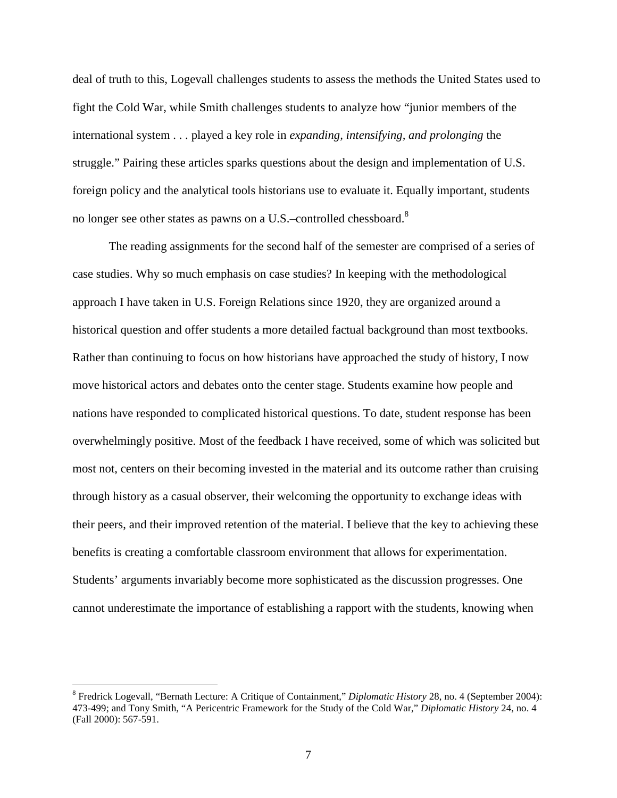deal of truth to this, Logevall challenges students to assess the methods the United States used to fight the Cold War, while Smith challenges students to analyze how "junior members of the international system . . . played a key role in *expanding, intensifying, and prolonging* the struggle." Pairing these articles sparks questions about the design and implementation of U.S. foreign policy and the analytical tools historians use to evaluate it. Equally important, students no longer see other states as pawns on a U.S.–controlled chessboard.<sup>8</sup>

The reading assignments for the second half of the semester are comprised of a series of case studies. Why so much emphasis on case studies? In keeping with the methodological approach I have taken in U.S. Foreign Relations since 1920, they are organized around a historical question and offer students a more detailed factual background than most textbooks. Rather than continuing to focus on how historians have approached the study of history, I now move historical actors and debates onto the center stage. Students examine how people and nations have responded to complicated historical questions. To date, student response has been overwhelmingly positive. Most of the feedback I have received, some of which was solicited but most not, centers on their becoming invested in the material and its outcome rather than cruising through history as a casual observer, their welcoming the opportunity to exchange ideas with their peers, and their improved retention of the material. I believe that the key to achieving these benefits is creating a comfortable classroom environment that allows for experimentation. Students' arguments invariably become more sophisticated as the discussion progresses. One cannot underestimate the importance of establishing a rapport with the students, knowing when

<sup>8</sup> Fredrick Logevall, "Bernath Lecture: A Critique of Containment," *Diplomatic History* 28, no. 4 (September 2004): 473-499; and Tony Smith, "A Pericentric Framework for the Study of the Cold War," *Diplomatic History* 24, no. 4 (Fall 2000): 567-591.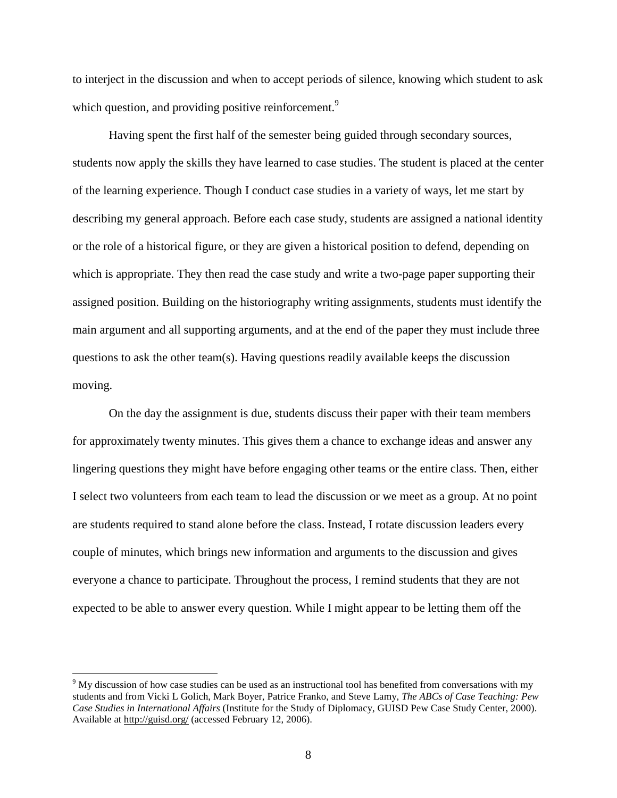to interject in the discussion and when to accept periods of silence, knowing which student to ask which question, and providing positive reinforcement.<sup>9</sup>

Having spent the first half of the semester being guided through secondary sources, students now apply the skills they have learned to case studies. The student is placed at the center of the learning experience. Though I conduct case studies in a variety of ways, let me start by describing my general approach. Before each case study, students are assigned a national identity or the role of a historical figure, or they are given a historical position to defend, depending on which is appropriate. They then read the case study and write a two-page paper supporting their assigned position. Building on the historiography writing assignments, students must identify the main argument and all supporting arguments, and at the end of the paper they must include three questions to ask the other team(s). Having questions readily available keeps the discussion moving.

On the day the assignment is due, students discuss their paper with their team members for approximately twenty minutes. This gives them a chance to exchange ideas and answer any lingering questions they might have before engaging other teams or the entire class. Then, either I select two volunteers from each team to lead the discussion or we meet as a group. At no point are students required to stand alone before the class. Instead, I rotate discussion leaders every couple of minutes, which brings new information and arguments to the discussion and gives everyone a chance to participate. Throughout the process, I remind students that they are not expected to be able to answer every question. While I might appear to be letting them off the

 $9$  My discussion of how case studies can be used as an instructional tool has benefited from conversations with my students and from Vicki L Golich, Mark Boyer, Patrice Franko, and Steve Lamy, *The ABCs of Case Teaching: Pew Case Studies in International Affairs* (Institute for the Study of Diplomacy, GUISD Pew Case Study Center, 2000). Available at http://guisd.org/ (accessed February 12, 2006).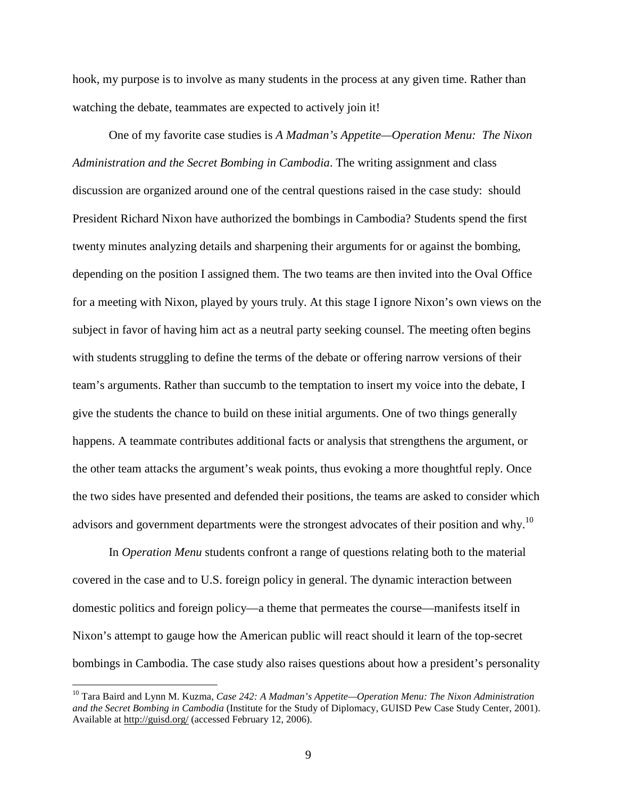hook, my purpose is to involve as many students in the process at any given time. Rather than watching the debate, teammates are expected to actively join it!

One of my favorite case studies is *A Madman's Appetite—Operation Menu: The Nixon Administration and the Secret Bombing in Cambodia*. The writing assignment and class discussion are organized around one of the central questions raised in the case study: should President Richard Nixon have authorized the bombings in Cambodia? Students spend the first twenty minutes analyzing details and sharpening their arguments for or against the bombing, depending on the position I assigned them. The two teams are then invited into the Oval Office for a meeting with Nixon, played by yours truly. At this stage I ignore Nixon's own views on the subject in favor of having him act as a neutral party seeking counsel. The meeting often begins with students struggling to define the terms of the debate or offering narrow versions of their team's arguments. Rather than succumb to the temptation to insert my voice into the debate, I give the students the chance to build on these initial arguments. One of two things generally happens. A teammate contributes additional facts or analysis that strengthens the argument, or the other team attacks the argument's weak points, thus evoking a more thoughtful reply. Once the two sides have presented and defended their positions, the teams are asked to consider which advisors and government departments were the strongest advocates of their position and why.<sup>10</sup>

In *Operation Menu* students confront a range of questions relating both to the material covered in the case and to U.S. foreign policy in general. The dynamic interaction between domestic politics and foreign policy—a theme that permeates the course—manifests itself in Nixon's attempt to gauge how the American public will react should it learn of the top-secret bombings in Cambodia. The case study also raises questions about how a president's personality

<sup>10</sup> Tara Baird and Lynn M. Kuzma, *Case 242: A Madman's Appetite—Operation Menu: The Nixon Administration and the Secret Bombing in Cambodia* (Institute for the Study of Diplomacy, GUISD Pew Case Study Center, 2001). Available at http://guisd.org/ (accessed February 12, 2006).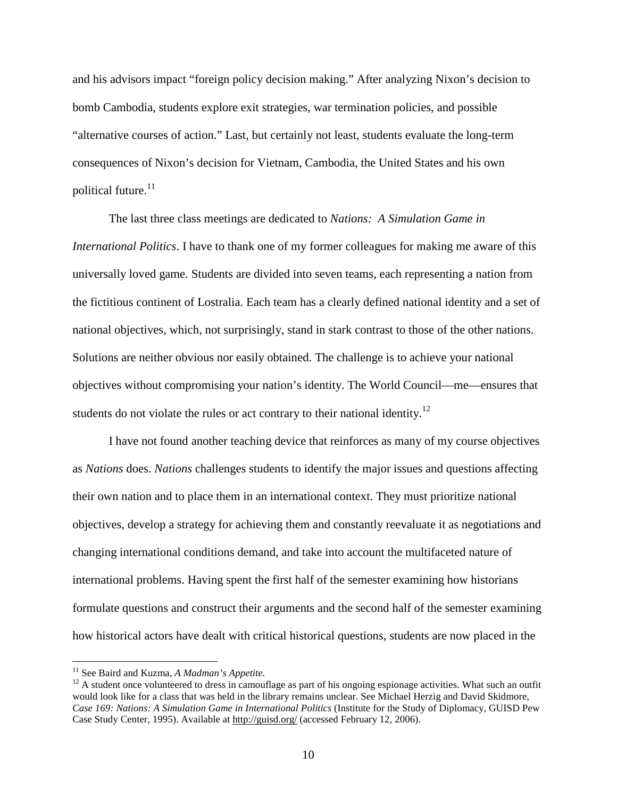and his advisors impact "foreign policy decision making." After analyzing Nixon's decision to bomb Cambodia, students explore exit strategies, war termination policies, and possible "alternative courses of action." Last, but certainly not least, students evaluate the long-term consequences of Nixon's decision for Vietnam, Cambodia, the United States and his own political future.<sup>11</sup>

The last three class meetings are dedicated to *Nations: A Simulation Game in International Politics*. I have to thank one of my former colleagues for making me aware of this universally loved game. Students are divided into seven teams, each representing a nation from the fictitious continent of Lostralia. Each team has a clearly defined national identity and a set of national objectives, which, not surprisingly, stand in stark contrast to those of the other nations. Solutions are neither obvious nor easily obtained. The challenge is to achieve your national objectives without compromising your nation's identity. The World Council—me—ensures that students do not violate the rules or act contrary to their national identity.<sup>12</sup>

I have not found another teaching device that reinforces as many of my course objectives as *Nations* does. *Nations* challenges students to identify the major issues and questions affecting their own nation and to place them in an international context. They must prioritize national objectives, develop a strategy for achieving them and constantly reevaluate it as negotiations and changing international conditions demand, and take into account the multifaceted nature of international problems. Having spent the first half of the semester examining how historians formulate questions and construct their arguments and the second half of the semester examining how historical actors have dealt with critical historical questions, students are now placed in the

<sup>&</sup>lt;sup>11</sup> See Baird and Kuzma, *A Madman's Appetite*.

 $12$  A student once volunteered to dress in camouflage as part of his ongoing espionage activities. What such an outfit would look like for a class that was held in the library remains unclear. See Michael Herzig and David Skidmore, *Case 169: Nations: A Simulation Game in International Politics* (Institute for the Study of Diplomacy, GUISD Pew Case Study Center, 1995). Available at http://guisd.org/ (accessed February 12, 2006).